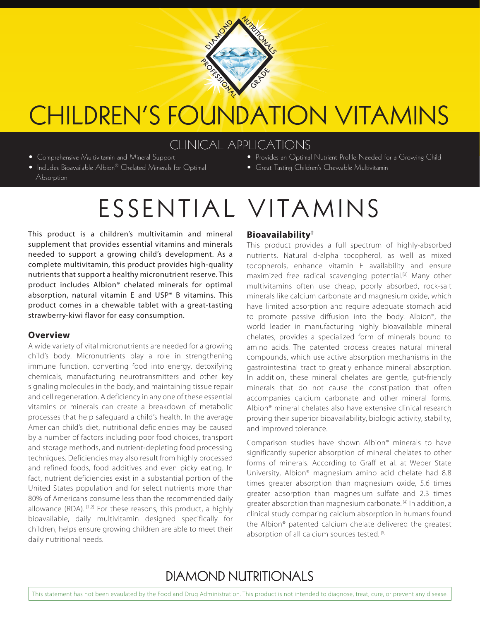

## CHILDREN'S FOUNDATION VITAMINS

### CLINICAL APPLICATIONS

- Comprehensive Multivitamin and Mineral Support
- Includes Bioavailable Albion® Chelated Minerals for Optimal **Absorption**
- Provides an Optimal Nutrient Profile Needed for a Growing Child
- Great Tasting Children's Chewable Multivitamin

# ESSENTIAL VITAMINS

This product is a children's multivitamin and mineral supplement that provides essential vitamins and minerals needed to support a growing child's development. As a complete multivitamin, this product provides high-quality nutrients that support a healthy micronutrient reserve. This product includes Albion® chelated minerals for optimal absorption, natural vitamin E and USP\* B vitamins. This product comes in a chewable tablet with a great-tasting strawberry-kiwi flavor for easy consumption.

#### **Overview**

A wide variety of vital micronutrients are needed for a growing child's body. Micronutrients play a role in strengthening immune function, converting food into energy, detoxifying chemicals, manufacturing neurotransmitters and other key signaling molecules in the body, and maintaining tissue repair and cell regeneration. A deficiency in any one of these essential vitamins or minerals can create a breakdown of metabolic processes that help safeguard a child's health. In the average American child's diet, nutritional deficiencies may be caused by a number of factors including poor food choices, transport and storage methods, and nutrient-depleting food processing techniques. Deficiencies may also result from highly processed and refined foods, food additives and even picky eating. In fact, nutrient deficiencies exist in a substantial portion of the United States population and for select nutrients more than 80% of Americans consume less than the recommended daily allowance (RDA). [1,2] For these reasons, this product, a highly bioavailable, daily multivitamin designed specifically for children, helps ensure growing children are able to meet their daily nutritional needs.

#### **Bioavailability†**

This product provides a full spectrum of highly-absorbed nutrients. Natural d-alpha tocopherol, as well as mixed tocopherols, enhance vitamin E availability and ensure maximized free radical scavenging potential.[3] Many other multivitamins often use cheap, poorly absorbed, rock-salt minerals like calcium carbonate and magnesium oxide, which have limited absorption and require adequate stomach acid to promote passive diffusion into the body. Albion®, the world leader in manufacturing highly bioavailable mineral chelates, provides a specialized form of minerals bound to amino acids. The patented process creates natural mineral compounds, which use active absorption mechanisms in the gastrointestinal tract to greatly enhance mineral absorption. In addition, these mineral chelates are gentle, gut-friendly minerals that do not cause the constipation that often accompanies calcium carbonate and other mineral forms. Albion® mineral chelates also have extensive clinical research proving their superior bioavailability, biologic activity, stability, and improved tolerance.

Comparison studies have shown Albion® minerals to have significantly superior absorption of mineral chelates to other forms of minerals. According to Graff et al. at Weber State University, Albion® magnesium amino acid chelate had 8.8 times greater absorption than magnesium oxide, 5.6 times greater absorption than magnesium sulfate and 2.3 times greater absorption than magnesium carbonate.<sup>[4]</sup> In addition, a clinical study comparing calcium absorption in humans found the Albion® patented calcium chelate delivered the greatest absorption of all calcium sources tested.<sup>[5]</sup>

## **DIAMOND NUTRITIONALS**